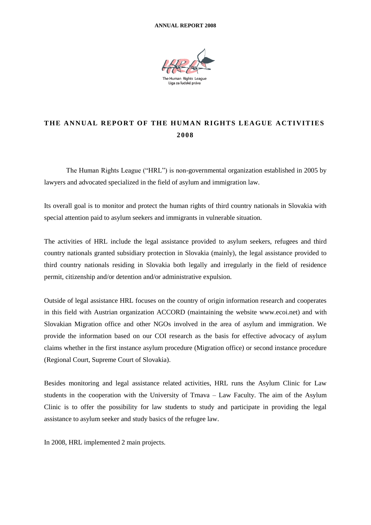

# THE ANNUAL REPORT OF THE HUMAN RIGHTS LEAGUE ACTIVITIES **2 0 08**

The Human Rights League ("HRL") is non-governmental organization established in 2005 by lawyers and advocated specialized in the field of asylum and immigration law.

Its overall goal is to monitor and protect the human rights of third country nationals in Slovakia with special attention paid to asylum seekers and immigrants in vulnerable situation.

The activities of HRL include the legal assistance provided to asylum seekers, refugees and third country nationals granted subsidiary protection in Slovakia (mainly), the legal assistance provided to third country nationals residing in Slovakia both legally and irregularly in the field of residence permit, citizenship and/or detention and/or administrative expulsion.

Outside of legal assistance HRL focuses on the country of origin information research and cooperates in this field with Austrian organization ACCORD (maintaining the website [www.ecoi.net\)](http://www.ecoi.net/) and with Slovakian Migration office and other NGOs involved in the area of asylum and immigration. We provide the information based on our COI research as the basis for effective advocacy of asylum claims whether in the first instance asylum procedure (Migration office) or second instance procedure (Regional Court, Supreme Court of Slovakia).

Besides monitoring and legal assistance related activities, HRL runs the Asylum Clinic for Law students in the cooperation with the University of Trnava – Law Faculty. The aim of the Asylum Clinic is to offer the possibility for law students to study and participate in providing the legal assistance to asylum seeker and study basics of the refugee law.

In 2008, HRL implemented 2 main projects.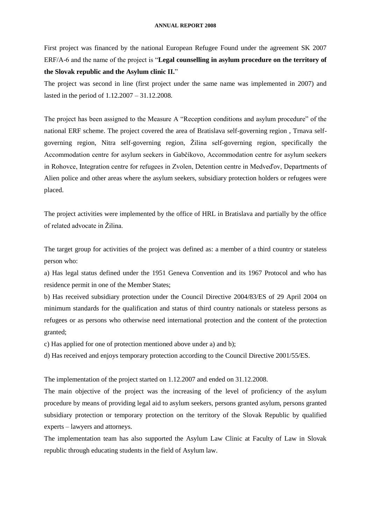First project was financed by the national European Refugee Found under the agreement SK 2007 ERF/A-6 and the name of the project is "**Legal counselling in asylum procedure on the territory of the Slovak republic and the Asylum clinic II.**"

The project was second in line (first project under the same name was implemented in 2007) and lasted in the period of 1.12.2007 – 31.12.2008.

The project has been assigned to the Measure A "Reception conditions and asylum procedure" of the national ERF scheme. The project covered the area of Bratislava self-governing region , Trnava selfgoverning region, Nitra self-governing region, Žilina self-governing region, specifically the Accommodation centre for asylum seekers in Gabčíkovo, Accommodation centre for asylum seekers in Rohovce, Integration centre for refugees in Zvolen, Detention centre in Medveďov, Departments of Alien police and other areas where the asylum seekers, subsidiary protection holders or refugees were placed.

The project activities were implemented by the office of HRL in Bratislava and partially by the office of related advocate in Žilina.

The target group for activities of the project was defined as: a member of a third country or stateless person who:

a) Has legal status defined under the 1951 Geneva Convention and its 1967 Protocol and who has residence permit in one of the Member States;

b) Has received subsidiary protection under the Council Directive 2004/83/ES of 29 April 2004 on minimum standards for the qualification and status of third country nationals or stateless persons as refugees or as persons who otherwise need international protection and the content of the protection granted;

c) Has applied for one of protection mentioned above under a) and b);

d) Has received and enjoys temporary protection according to the Council Directive 2001/55/ES.

The implementation of the project started on 1.12.2007 and ended on 31.12.2008.

The main objective of the project was the increasing of the level of proficiency of the asylum procedure by means of providing legal aid to asylum seekers, persons granted asylum, persons granted subsidiary protection or temporary protection on the territory of the Slovak Republic by qualified experts – lawyers and attorneys.

The implementation team has also supported the Asylum Law Clinic at Faculty of Law in Slovak republic through educating students in the field of Asylum law.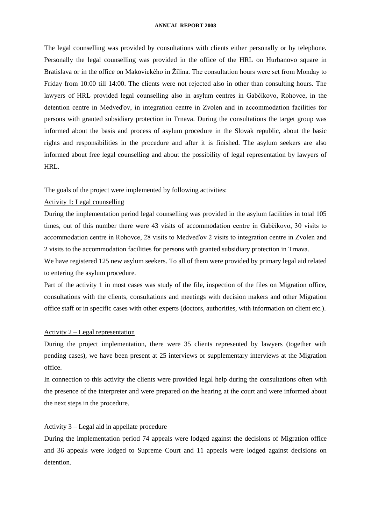The legal counselling was provided by consultations with clients either personally or by telephone. Personally the legal counselling was provided in the office of the HRL on Hurbanovo square in Bratislava or in the office on Makovického in Žilina. The consultation hours were set from Monday to Friday from 10:00 till 14:00. The clients were not rejected also in other than consulting hours. The lawyers of HRL provided legal counselling also in asylum centres in Gabčíkovo, Rohovce, in the detention centre in Medveďov, in integration centre in Zvolen and in accommodation facilities for persons with granted subsidiary protection in Trnava. During the consultations the target group was informed about the basis and process of asylum procedure in the Slovak republic, about the basic rights and responsibilities in the procedure and after it is finished. The asylum seekers are also informed about free legal counselling and about the possibility of legal representation by lawyers of HRL.

The goals of the project were implemented by following activities:

# Activity 1: Legal counselling

During the implementation period legal counselling was provided in the asylum facilities in total 105 times, out of this number there were 43 visits of accommodation centre in Gabčíkovo, 30 visits to accommodation centre in Rohovce, 28 visits to Medveďov 2 visits to integration centre in Zvolen and 2 visits to the accommodation facilities for persons with granted subsidiary protection in Trnava.

We have registered 125 new asylum seekers. To all of them were provided by primary legal aid related to entering the asylum procedure.

Part of the activity 1 in most cases was study of the file, inspection of the files on Migration office, consultations with the clients, consultations and meetings with decision makers and other Migration office staff or in specific cases with other experts (doctors, authorities, with information on client etc.).

### Activity 2 – Legal representation

During the project implementation, there were 35 clients represented by lawyers (together with pending cases), we have been present at 25 interviews or supplementary interviews at the Migration office.

In connection to this activity the clients were provided legal help during the consultations often with the presence of the interpreter and were prepared on the hearing at the court and were informed about the next steps in the procedure.

# Activity 3 – Legal aid in appellate procedure

During the implementation period 74 appeals were lodged against the decisions of Migration office and 36 appeals were lodged to Supreme Court and 11 appeals were lodged against decisions on detention.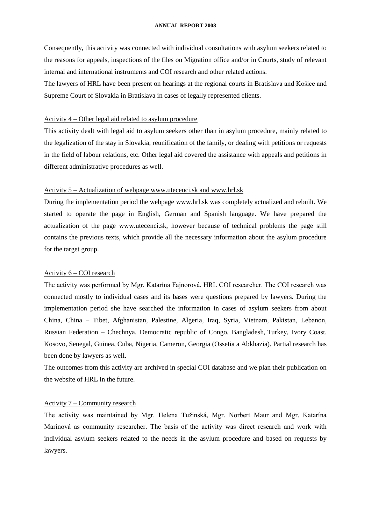Consequently, this activity was connected with individual consultations with asylum seekers related to the reasons for appeals, inspections of the files on Migration office and/or in Courts, study of relevant internal and international instruments and COI research and other related actions.

The lawyers of HRL have been present on hearings at the regional courts in Bratislava and Košice and Supreme Court of Slovakia in Bratislava in cases of legally represented clients.

# Activity 4 – Other legal aid related to asylum procedure

This activity dealt with legal aid to asylum seekers other than in asylum procedure, mainly related to the legalization of the stay in Slovakia, reunification of the family, or dealing with petitions or requests in the field of labour relations, etc. Other legal aid covered the assistance with appeals and petitions in different administrative procedures as well.

# Activity 5 – Actualization of webpage [www.utecenci.sk](http://www.utecenci.sk/) and [www.hrl.sk](http://www.hrl.sk/)

During the implementation period the webpage [www.hrl.sk](http://www.hrl.sk/) was completely actualized and rebuilt. We started to operate the page in English, German and Spanish language. We have prepared the actualization of the page [www.utecenci.sk,](http://www.utecenci.sk/) however because of technical problems the page still contains the previous texts, which provide all the necessary information about the asylum procedure for the target group.

### Activity 6 – COI research

The activity was performed by Mgr. Katarína Fajnorová, HRL COI researcher. The COI research was connected mostly to individual cases and its bases were questions prepared by lawyers. During the implementation period she have searched the information in cases of asylum seekers from about China, China – Tibet, Afghanistan, Palestine, Algeria, Iraq, Syria, Vietnam, Pakistan, Lebanon, Russian Federation – Chechnya, Democratic republic of Congo, Bangladesh, Turkey, Ivory Coast, Kosovo, Senegal, Guinea, Cuba, Nigeria, Cameron, Georgia (Ossetia a Abkhazia). Partial research has been done by lawyers as well.

The outcomes from this activity are archived in special COI database and we plan their publication on the website of HRL in the future.

### Activity 7 – Community research

The activity was maintained by Mgr. Helena Tužinská, Mgr. Norbert Maur and Mgr. Katarína Marinová as community researcher. The basis of the activity was direct research and work with individual asylum seekers related to the needs in the asylum procedure and based on requests by lawyers.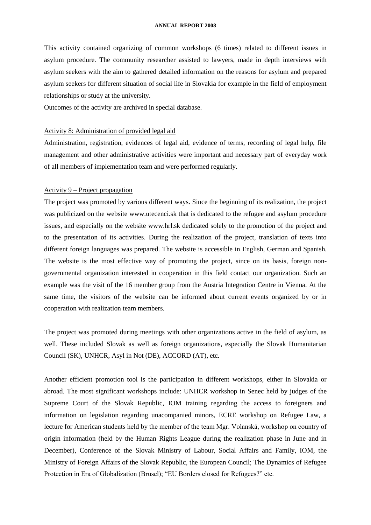This activity contained organizing of common workshops (6 times) related to different issues in asylum procedure. The community researcher assisted to lawyers, made in depth interviews with asylum seekers with the aim to gathered detailed information on the reasons for asylum and prepared asylum seekers for different situation of social life in Slovakia for example in the field of employment relationships or study at the university.

Outcomes of the activity are archived in special database.

### Activity 8: Administration of provided legal aid

Administration, registration, evidences of legal aid, evidence of terms, recording of legal help, file management and other administrative activities were important and necessary part of everyday work of all members of implementation team and were performed regularly.

# Activity 9 – Project propagation

The project was promoted by various different ways. Since the beginning of its realization, the project was publicized on the website [www.utecenci.sk](http://www.utecenci.sk/) that is dedicated to the refugee and asylum procedure issues, and especially on the website [www.hrl.sk](http://www.hrl.sk/) dedicated solely to the promotion of the project and to the presentation of its activities. During the realization of the project, translation of texts into different foreign languages was prepared. The website is accessible in English, German and Spanish. The website is the most effective way of promoting the project, since on its basis, foreign nongovernmental organization interested in cooperation in this field contact our organization. Such an example was the visit of the 16 member group from the Austria Integration Centre in Vienna. At the same time, the visitors of the website can be informed about current events organized by or in cooperation with realization team members.

The project was promoted during meetings with other organizations active in the field of asylum, as well. These included Slovak as well as foreign organizations, especially the Slovak Humanitarian Council (SK), UNHCR, Asyl in Not (DE), ACCORD (AT), etc.

Another efficient promotion tool is the participation in different workshops, either in Slovakia or abroad. The most significant workshops include: UNHCR workshop in Senec held by judges of the Supreme Court of the Slovak Republic, IOM training regarding the access to foreigners and information on legislation regarding unacompanied minors, ECRE workshop on Refugee Law, a lecture for American students held by the member of the team Mgr. Volanská, workshop on country of origin information (held by the Human Rights League during the realization phase in June and in December), Conference of the Slovak Ministry of Labour, Social Affairs and Family, IOM, the Ministry of Foreign Affairs of the Slovak Republic, the European Council; The Dynamics of Refugee Protection in Era of Globalization (Brusel); "EU Borders closed for Refugees?" etc.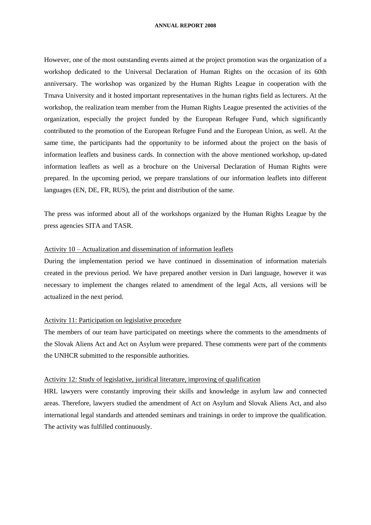However, one of the most outstanding events aimed at the project promotion was the organization of a workshop dedicated to the Universal Declaration of Human Rights on the occasion of its 60th anniversary. The workshop was organized by the Human Rights League in cooperation with the Trnava University and it hosted important representatives in the human rights field as lecturers. At the workshop, the realization team member from the Human Rights League presented the activities of the organization, especially the project funded by the European Refugee Fund, which significantly contributed to the promotion of the European Refugee Fund and the European Union, as well. At the same time, the participants had the opportunity to be informed about the project on the basis of information leaflets and business cards. In connection with the above mentioned workshop, up-dated information leaflets as well as a brochure on the Universal Declaration of Human Rights were prepared. In the upcoming period, we prepare translations of our information leaflets into different languages (EN, DE, FR, RUS), the print and distribution of the same.

The press was informed about all of the workshops organized by the Human Rights League by the press agencies SITA and TASR.

# Activity 10 – Actualization and dissemination of information leaflets

During the implementation period we have continued in dissemination of information materials created in the previous period. We have prepared another version in Dari language, however it was necessary to implement the changes related to amendment of the legal Acts, all versions will be actualized in the next period.

### Activity 11: Participation on legislative procedure

The members of our team have participated on meetings where the comments to the amendments of the Slovak Aliens Act and Act on Asylum were prepared. These comments were part of the comments the UNHCR submitted to the responsible authorities.

### Activity 12: Study of legislative, juridical literature, improving of qualification

HRL lawyers were constantly improving their skills and knowledge in asylum law and connected areas. Therefore, lawyers studied the amendment of Act on Asylum and Slovak Aliens Act, and also international legal standards and attended seminars and trainings in order to improve the qualification. The activity was fulfilled continuously.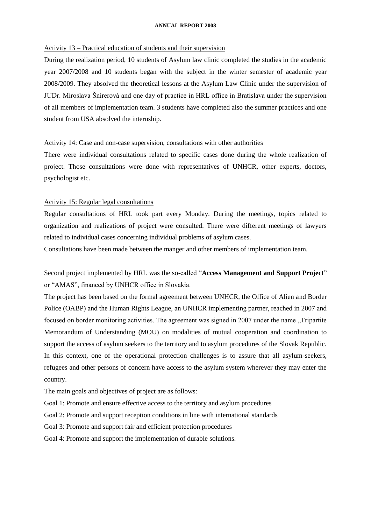# Activity 13 – Practical education of students and their supervision

During the realization period, 10 students of Asylum law clinic completed the studies in the academic year 2007/2008 and 10 students began with the subject in the winter semester of academic year 2008/2009. They absolved the theoretical lessons at the Asylum Law Clinic under the supervision of JUDr. Miroslava Šnírerová and one day of practice in HRL office in Bratislava under the supervision of all members of implementation team. 3 students have completed also the summer practices and one student from USA absolved the internship.

### Activity 14: Case and non-case supervision, consultations with other authorities

There were individual consultations related to specific cases done during the whole realization of project. Those consultations were done with representatives of UNHCR, other experts, doctors, psychologist etc.

# Activity 15: Regular legal consultations

Regular consultations of HRL took part every Monday. During the meetings, topics related to organization and realizations of project were consulted. There were different meetings of lawyers related to individual cases concerning individual problems of asylum cases.

Consultations have been made between the manger and other members of implementation team.

Second project implemented by HRL was the so-called "**Access Management and Support Project**" or "AMAS", financed by UNHCR office in Slovakia.

The project has been based on the formal agreement between UNHCR, the Office of Alien and Border Police (OABP) and the Human Rights League, an UNHCR implementing partner, reached in 2007 and focused on border monitoring activities. The agreement was signed in 2007 under the name "Tripartite" Memorandum of Understanding (MOU) on modalities of mutual cooperation and coordination to support the access of asylum seekers to the territory and to asylum procedures of the Slovak Republic. In this context, one of the operational protection challenges is to assure that all asylum-seekers, refugees and other persons of concern have access to the asylum system wherever they may enter the country.

The main goals and objectives of project are as follows:

Goal 1: Promote and ensure effective access to the territory and asylum procedures

Goal 2: Promote and support reception conditions in line with international standards

Goal 3: Promote and support fair and efficient protection procedures

Goal 4: Promote and support the implementation of durable solutions.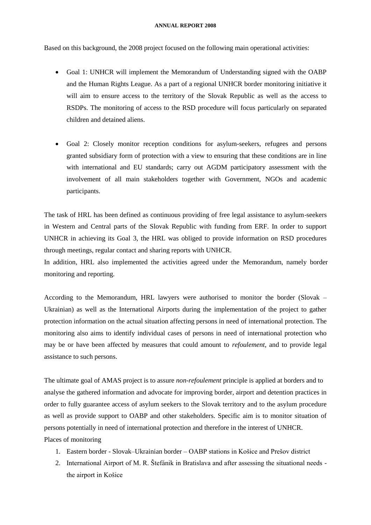Based on this background, the 2008 project focused on the following main operational activities:

- Goal 1: UNHCR will implement the Memorandum of Understanding signed with the OABP and the Human Rights League. As a part of a regional UNHCR border monitoring initiative it will aim to ensure access to the territory of the Slovak Republic as well as the access to RSDPs. The monitoring of access to the RSD procedure will focus particularly on separated children and detained aliens.
- Goal 2: Closely monitor reception conditions for asylum-seekers, refugees and persons granted subsidiary form of protection with a view to ensuring that these conditions are in line with international and EU standards; carry out AGDM participatory assessment with the involvement of all main stakeholders together with Government, NGOs and academic participants.

The task of HRL has been defined as continuous providing of free legal assistance to asylum-seekers in Western and Central parts of the Slovak Republic with funding from ERF. In order to support UNHCR in achieving its Goal 3, the HRL was obliged to provide information on RSD procedures through meetings, regular contact and sharing reports with UNHCR.

In addition, HRL also implemented the activities agreed under the Memorandum, namely border monitoring and reporting.

According to the Memorandum, HRL lawyers were authorised to monitor the border (Slovak – Ukrainian) as well as the International Airports during the implementation of the project to gather protection information on the actual situation affecting persons in need of international protection. The monitoring also aims to identify individual cases of persons in need of international protection who may be or have been affected by measures that could amount to *refoulement*, and to provide legal assistance to such persons.

The ultimate goal of AMAS project is to assure *non-refoulement* principle is applied at borders and to analyse the gathered information and advocate for improving border, airport and detention practices in order to fully guarantee access of asylum seekers to the Slovak territory and to the asylum procedure as well as provide support to OABP and other stakeholders. Specific aim is to monitor situation of persons potentially in need of international protection and therefore in the interest of UNHCR. Places of monitoring

- 1. Eastern border Slovak–Ukrainian border OABP stations in Košice and Prešov district
- 2. International Airport of M. R. Štefánik in Bratislava and after assessing the situational needs the airport in Košice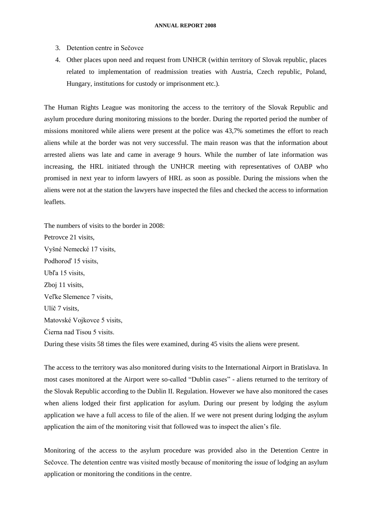- 3. Detention centre in Sečovce
- 4. Other places upon need and request from UNHCR (within territory of Slovak republic, places related to implementation of readmission treaties with Austria, Czech republic, Poland, Hungary, institutions for custody or imprisonment etc.).

The Human Rights League was monitoring the access to the territory of the Slovak Republic and asylum procedure during monitoring missions to the border. During the reported period the number of missions monitored while aliens were present at the police was 43,7% sometimes the effort to reach aliens while at the border was not very successful. The main reason was that the information about arrested aliens was late and came in average 9 hours. While the number of late information was increasing, the HRL initiated through the UNHCR meeting with representatives of OABP who promised in next year to inform lawyers of HRL as soon as possible. During the missions when the aliens were not at the station the lawyers have inspected the files and checked the access to information leaflets.

The numbers of visits to the border in 2008: Petrovce 21 visits, Vyšné Nemecké 17 visits, Podhoroď 15 visits, Ubľa 15 visits, Zboj 11 visits, Veľke Slemence 7 visits, Ulíč 7 visits, Matovské Vojkovce 5 visits, Čierna nad Tisou 5 visits. During these visits 58 times the files were examined, during 45 visits the aliens were present.

The access to the territory was also monitored during visits to the International Airport in Bratislava. In most cases monitored at the Airport were so-called "Dublin cases" - aliens returned to the territory of the Slovak Republic according to the Dublin II. Regulation. However we have also monitored the cases when aliens lodged their first application for asylum. During our present by lodging the asylum application we have a full access to file of the alien. If we were not present during lodging the asylum

application the aim of the monitoring visit that followed was to inspect the alien's file.

Monitoring of the access to the asylum procedure was provided also in the Detention Centre in Sečovce. The detention centre was visited mostly because of monitoring the issue of lodging an asylum application or monitoring the conditions in the centre.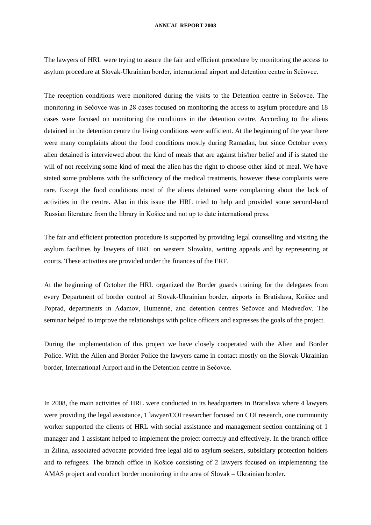The lawyers of HRL were trying to assure the fair and efficient procedure by monitoring the access to asylum procedure at Slovak-Ukrainian border, international airport and detention centre in Sečovce.

The reception conditions were monitored during the visits to the Detention centre in Sečovce. The monitoring in Sečovce was in 28 cases focused on monitoring the access to asylum procedure and 18 cases were focused on monitoring the conditions in the detention centre. According to the aliens detained in the detention centre the living conditions were sufficient. At the beginning of the year there were many complaints about the food conditions mostly during Ramadan, but since October every alien detained is interviewed about the kind of meals that are against his/her belief and if is stated the will of not receiving some kind of meal the alien has the right to choose other kind of meal. We have stated some problems with the sufficiency of the medical treatments, however these complaints were rare. Except the food conditions most of the aliens detained were complaining about the lack of activities in the centre. Also in this issue the HRL tried to help and provided some second-hand Russian literature from the library in Košice and not up to date international press.

The fair and efficient protection procedure is supported by providing legal counselling and visiting the asylum facilities by lawyers of HRL on western Slovakia, writing appeals and by representing at courts. These activities are provided under the finances of the ERF.

At the beginning of October the HRL organized the Border guards training for the delegates from every Department of border control at Slovak-Ukrainian border, airports in Bratislava, Košice and Poprad, departments in Adamov, Humenné, and detention centres Sečovce and Medveďov. The seminar helped to improve the relationships with police officers and expresses the goals of the project.

During the implementation of this project we have closely cooperated with the Alien and Border Police. With the Alien and Border Police the lawyers came in contact mostly on the Slovak-Ukrainian border, International Airport and in the Detention centre in Sečovce.

In 2008, the main activities of HRL were conducted in its headquarters in Bratislava where 4 lawyers were providing the legal assistance, 1 lawyer/COI researcher focused on COI research, one community worker supported the clients of HRL with social assistance and management section containing of 1 manager and 1 assistant helped to implement the project correctly and effectively. In the branch office in Žilina, associated advocate provided free legal aid to asylum seekers, subsidiary protection holders and to refugees. The branch office in Košice consisting of 2 lawyers focused on implementing the AMAS project and conduct border monitoring in the area of Slovak – Ukrainian border.